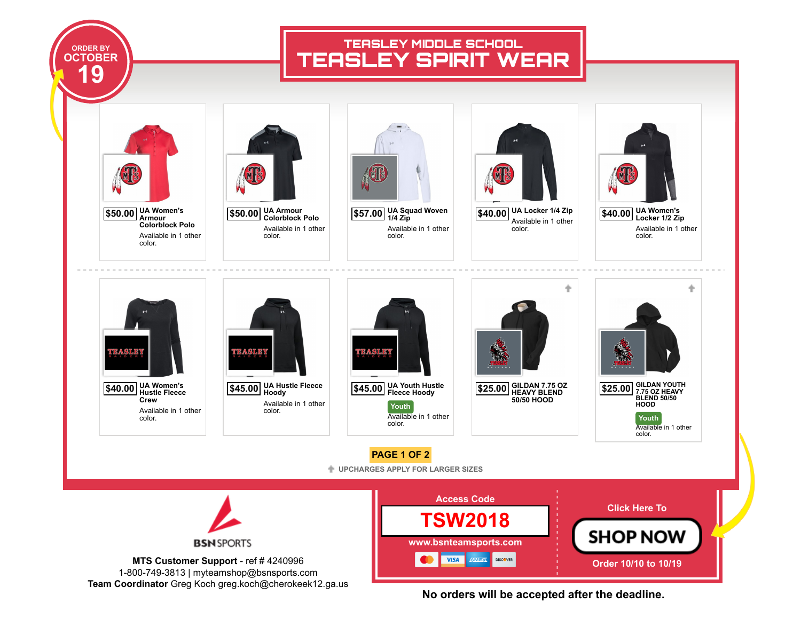